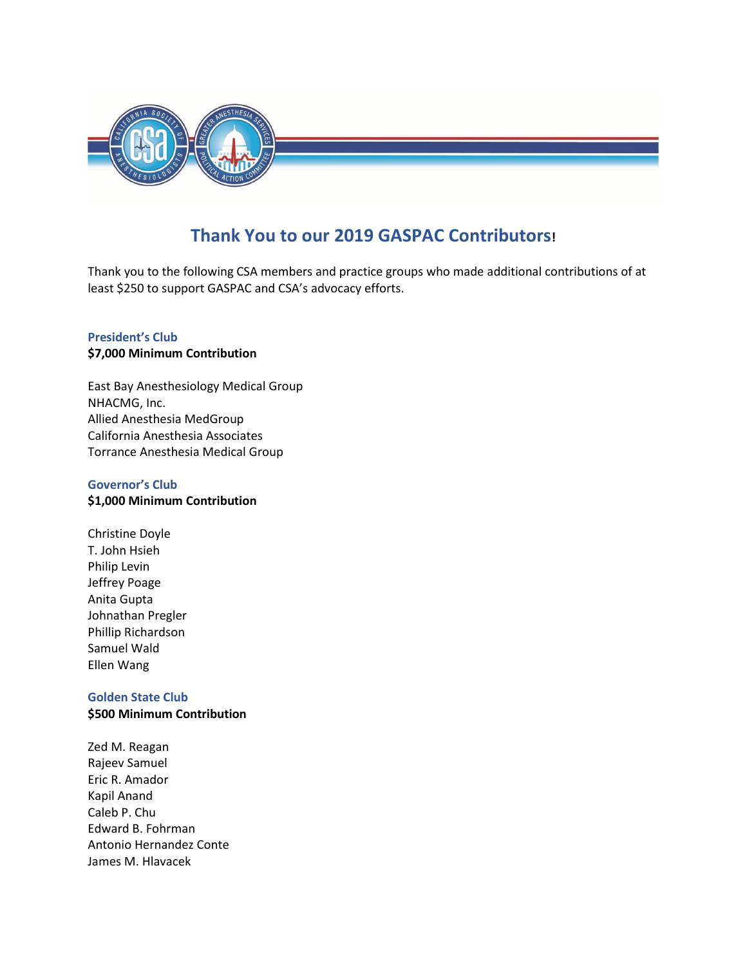

## **Thank You to our 2019 GASPAC Contributors!**

Thank you to the following CSA members and practice groups who made additional contributions of at least \$250 to support GASPAC and CSA's advocacy efforts.

### **President's Club \$7,000 Minimum Contribution**

East Bay Anesthesiology Medical Group NHACMG, Inc. Allied Anesthesia MedGroup California Anesthesia Associates Torrance Anesthesia Medical Group

#### **Governor's Club**

### **\$1,000 Minimum Contribution**

Christine Doyle T. John Hsieh Philip Levin Jeffrey Poage Anita Gupta Johnathan Pregler Phillip Richardson Samuel Wald Ellen Wang

# **Golden State Club**

- **\$500 Minimum Contribution**
- Zed M. Reagan Rajeev Samuel Eric R. Amador Kapil Anand Caleb P. Chu Edward B. Fohrman Antonio Hernandez Conte James M. Hlavacek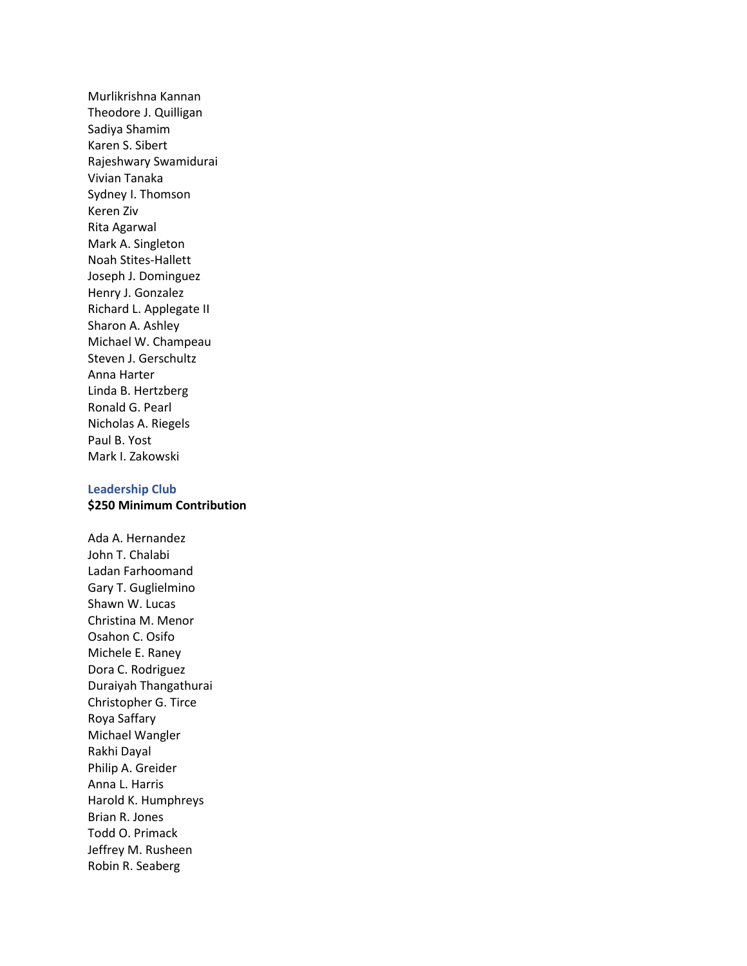Murlikrishna Kannan Theodore J. Quilligan Sadiya Shamim Karen S. Sibert Rajeshwary Swamidurai Vivian Tanaka Sydney I. Thomson Keren Ziv Rita Agarwal Mark A. Singleton Noah Stites-Hallett Joseph J. Dominguez Henry J. Gonzalez Richard L. Applegate II Sharon A. Ashley Michael W. Champeau Steven J. Gerschultz Anna Harter Linda B. Hertzberg Ronald G. Pearl Nicholas A. Riegels Paul B. Yost Mark I. Zakowski

### **Leadership Club \$250 Minimum Contribution**

Ada A. Hernandez John T. Chalabi Ladan Farhoomand Gary T. Guglielmino Shawn W. Lucas Christina M. Menor Osahon C. Osifo Michele E. Raney Dora C. Rodriguez Duraiyah Thangathurai Christopher G. Tirce Roya Saffary Michael Wangler Rakhi Dayal Philip A. Greider Anna L. Harris Harold K. Humphreys Brian R. Jones Todd O. Primack Jeffrey M. Rusheen Robin R. Seaberg